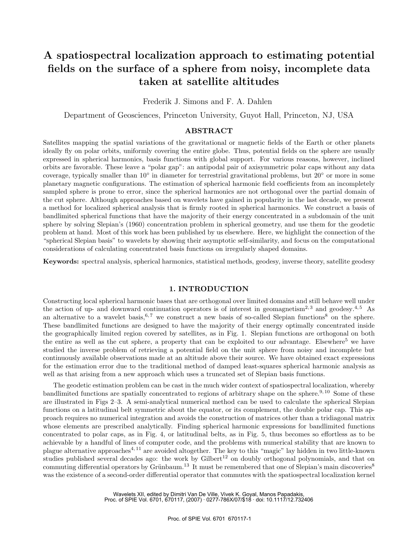# **A spatiospectral localization approach to estimating potential fields on the surface of a sphere from noisy, incomplete data taken at satellite altitudes**

Frederik J. Simons and F. A. Dahlen

Department of Geosciences, Princeton University, Guyot Hall, Princeton, NJ, USA

## **ABSTRACT**

Satellites mapping the spatial variations of the gravitational or magnetic fields of the Earth or other planets ideally fly on polar orbits, uniformly covering the entire globe. Thus, potential fields on the sphere are usually expressed in spherical harmonics, basis functions with global support. For various reasons, however, inclined orbits are favorable. These leave a "polar gap": an antipodal pair of axisymmetric polar caps without any data coverage, typically smaller than 10◦ in diameter for terrestrial gravitational problems, but 20◦ or more in some planetary magnetic configurations. The estimation of spherical harmonic field coefficients from an incompletely sampled sphere is prone to error, since the spherical harmonics are not orthogonal over the partial domain of the cut sphere. Although approaches based on wavelets have gained in popularity in the last decade, we present a method for localized spherical analysis that is firmly rooted in spherical harmonics. We construct a basis of bandlimited spherical functions that have the majority of their energy concentrated in a subdomain of the unit sphere by solving Slepian's (1960) concentration problem in spherical geometry, and use them for the geodetic problem at hand. Most of this work has been published by us elsewhere. Here, we highlight the connection of the "spherical Slepian basis" to wavelets by showing their asymptotic self-similarity, and focus on the computational considerations of calculating concentrated basis functions on irregularly shaped domains.

**Keywords:** spectral analysis, spherical harmonics, statistical methods, geodesy, inverse theory, satellite geodesy

# **1. INTRODUCTION**

Constructing local spherical harmonic bases that are orthogonal over limited domains and still behave well under the action of up- and downward continuation operators is of interest in geomagnetism<sup>2, 3</sup> and geodesy.<sup>4, 5</sup> As an alternative to a wavelet basis,  $6, 7$  we construct a new basis of so-called Slepian functions<sup>8</sup> on the sphere. These bandlimited functions are designed to have the majority of their energy optimally concentrated inside the geographically limited region covered by satellites, as in Fig. 1. Slepian functions are orthogonal on both the entire as well as the cut sphere, a property that can be exploited to our advantage. Elsewhere<sup>5</sup> we have studied the inverse problem of retrieving a potential field on the unit sphere from noisy and incomplete but continuously available observations made at an altitude above their source. We have obtained exact expressions for the estimation error due to the traditional method of damped least-squares spherical harmonic analysis as well as that arising from a new approach which uses a truncated set of Slepian basis functions.

The geodetic estimation problem can be cast in the much wider context of spatiospectral localization, whereby bandlimited functions are spatially concentrated to regions of arbitrary shape on the sphere.<sup>9, 10</sup> Some of these are illustrated in Figs 2–3. A semi-analytical numerical method can be used to calculate the spherical Slepian functions on a latitudinal belt symmetric about the equator, or its complement, the double polar cap. This approach requires no numerical integration and avoids the construction of matrices other than a tridiagonal matrix whose elements are prescribed analytically. Finding spherical harmonic expressions for bandlimited functions concentrated to polar caps, as in Fig. 4, or latitudinal belts, as in Fig. 5, thus becomes so effortless as to be achievable by a handful of lines of computer code, and the problems with numerical stability that are known to plague alternative approaches4, 11 are avoided altogether. The key to this "magic" lay hidden in two little-known studies published several decades ago: the work by Gilbert<sup>12</sup> on doubly orthogonal polynomials, and that on commuting differential operators by Grünbaum.<sup>13</sup> It must be remembered that one of Slepian's main discoveries<sup>8</sup> was the existence of a second-order differential operator that commutes with the spatiospectral localization kernel

> Wavelets XII, edited by Dimitri Van De Ville, Vivek K. Goyal, Manos Papadakis, Proc. of SPIE Vol. 6701, 670117, (2007) · 0277-786X/07/\$18 · doi: 10.1117/12.732406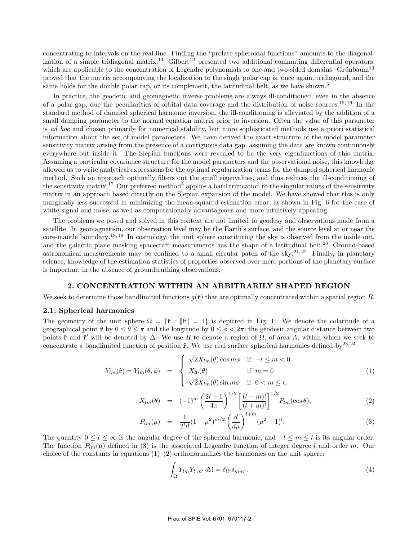concentrating to intervals on the real line. Finding the "prolate spheroidal functions" amounts to the diagonalization of a simple tridiagonal matrix.<sup>14</sup> Gilbert<sup>12</sup> presented two additional commuting differential operators, which are applicable to the concentration of Legendre polynomials to one-and two-sided domains. Grünbaum<sup>13</sup> proved that the matrix accompanying the localization to the single polar cap is, once again, tridiagonal, and the same holds for the double polar cap, or its complement, the latitudinal belt, as we have shown.<sup>5</sup>

In practice, the geodetic and geomagnetic inverse problems are always ill-conditioned, even in the absence of a polar gap, due the peculiarities of orbital data coverage and the distribution of noise sources.15, 16 In the standard method of damped spherical harmonic inversion, the ill-conditioning is alleviated by the addition of a small damping parameter to the normal equation matrix prior to inversion. Often the value of this parameter is *ad hoc* and chosen primarily for numerical stability, but more sophisticated methods use a priori statistical information about the set of model parameters. We have derived the exact structure of the model parameter sensitivity matrix arising from the presence of a contiguous data gap, assuming the data are known continuously everywhere but inside it. The Slepian functions were revealed to be the very eigenfunctions of this matrix. Assuming a particular covariance structure for the model parameters and the observational noise, this knowledge allowed us to write analytical expressions for the optimal regularization terms for the damped spherical harmonic method. Such an approach optimally filters out the small eigenvalues, and thus reduces the ill-conditioning of the sensitivity matrix.<sup>17</sup> Our preferred method<sup>5</sup> applies a hard truncation to the singular values of the sensitivity matrix in an approach based directly on the Slepian expansion of the model. We have showed that this is only marginally less successful in minimizing the mean-squared estimation error, as shown in Fig. 6 for the case of white signal and noise, as well as computationally advantageous and more intuitively appealing.

The problems we posed and solved in this context are not limited to geodesy and observations made from a satellite. In geomagnetism, our observation level may be the Earth's surface, and the source level at or near the core-mantle boundary.18, 19 In cosmology, the unit sphere constituting the sky is observed from the inside out, and the galactic plane masking spacecraft measurements has the shape of a latitudinal belt.<sup>20</sup> Ground-based astronomical measurements may be confined to a small circular patch of the sky.<sup>21, 22</sup> Finally, in planetary science, knowledge of the estimation statistics of properties observed over mere portions of the planetary surface is important in the absence of groundtruthing observations.

### **2. CONCENTRATION WITHIN AN ARBITRARILY SHAPED REGION**

We seek to determine those bandlimited functions  $q(\hat{\bf{r}})$  that are optimally concentrated within a spatial region R.

#### **2.1. Spherical harmonics**

The geometry of the unit sphere  $\Omega = {\hat{\bf r} : ||\hat{\bf r}|| = 1}$  is depicted in Fig. 1. We denote the colatitude of a geographical point  $\hat{\mathbf{r}}$  by  $0 \le \theta \le \pi$  and the longitude by  $0 \le \phi \le 2\pi$ ; the geodesic angular distance between two points  $\hat{\mathbf{r}}$  and  $\hat{\mathbf{r}}'$  will be denoted by  $\Delta$ . We use R to denote a region of  $\Omega$ , of area A, within which we seek to concentrate a bandlimited function of position  $\hat{r}$ . We use real surface spherical harmonics defined by<sup>23,24</sup>

$$
Y_{lm}(\hat{\mathbf{r}}) = Y_{lm}(\theta, \phi) = \begin{cases} \sqrt{2}X_{lm}(\theta)\cos m\phi & \text{if } -l \le m < 0\\ X_{l0}(\theta) & \text{if } m = 0\\ \sqrt{2}X_{lm}(\theta)\sin m\phi & \text{if } 0 < m \le l, \end{cases}
$$
(1)

$$
X_{lm}(\theta) = (-1)^m \left(\frac{2l+1}{4\pi}\right)^{1/2} \left[\frac{(l-m)!}{(l+m)!}\right]^{1/2} P_{lm}(\cos\theta), \tag{2}
$$

$$
P_{lm}(\mu) = \frac{1}{2^l l!} (1 - \mu^2)^{m/2} \left(\frac{d}{d\mu}\right)^{l+m} (\mu^2 - 1)^l. \tag{3}
$$

The quantity  $0 \leq l \leq \infty$  is the angular degree of the spherical harmonic, and  $-l \leq m \leq l$  is its angular order. The function  $P_{lm}(\mu)$  defined in (3) is the associated Legendre function of integer degree l and order m. Our choice of the constants in equations  $(1)-(2)$  orthonormalizes the harmonics on the unit sphere:

$$
\int_{\Omega} Y_{lm} Y_{l'm'} d\Omega = \delta_{ll'} \delta_{mm'}.
$$
\n(4)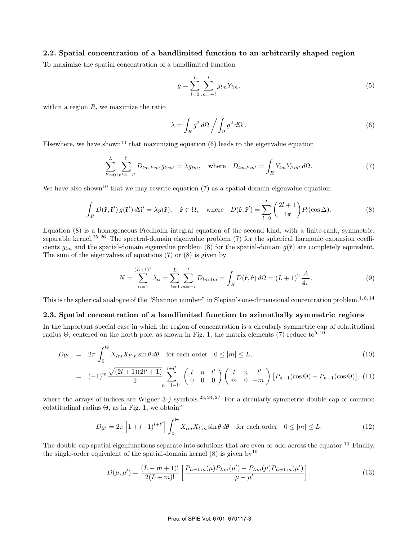## **2.2. Spatial concentration of a bandlimited function to an arbitrarily shaped region**

To maximize the spatial concentration of a bandlimited function

$$
g = \sum_{l=0}^{L} \sum_{m=-l}^{l} g_{lm} Y_{lm},
$$
\n(5)

within a region  $R$ , we maximize the ratio

$$
\lambda = \int_{R} g^2 \, d\Omega \bigg/ \int_{\Omega} g^2 \, d\Omega \,. \tag{6}
$$

Elsewhere, we have shown<sup>10</sup> that maximizing equation  $(6)$  leads to the eigenvalue equation

$$
\sum_{l'=0}^{L} \sum_{m'=-l'}^{l'} D_{lm,l'm'} g_{l'm'} = \lambda g_{lm}, \text{ where } D_{lm,l'm'} = \int_{R} Y_{lm} Y_{l'm'} d\Omega. \tag{7}
$$

We have also shown<sup>10</sup> that we may rewrite equation  $(7)$  as a spatial-domain eigenvalue equation:

$$
\int_{R} D(\hat{\mathbf{r}}, \hat{\mathbf{r}}') g(\hat{\mathbf{r}}') d\Omega' = \lambda g(\hat{\mathbf{r}}), \quad \hat{\mathbf{r}} \in \Omega, \quad \text{where} \quad D(\hat{\mathbf{r}}, \hat{\mathbf{r}}') = \sum_{l=0}^{L} \left(\frac{2l+1}{4\pi}\right) P_l(\cos \Delta). \tag{8}
$$

Equation (8) is a homogeneous Fredholm integral equation of the second kind, with a finite-rank, symmetric, separable kernel.<sup>25, 26</sup> The spectral-domain eigenvalue problem  $(7)$  for the spherical harmonic expansion coefficients  $g_{lm}$  and the spatial-domain eigenvalue problem (8) for the spatial-domain  $g(\hat{\bf{r}})$  are completely equivalent. The sum of the eigenvalues of equations (7) or (8) is given by

$$
N = \sum_{\alpha=1}^{(L+1)^2} \lambda_{\alpha} = \sum_{l=0}^{L} \sum_{m=-l}^{l} D_{lm,lm} = \int_{R} D(\hat{\mathbf{r}}, \hat{\mathbf{r}}) d\Omega = (L+1)^2 \frac{A}{4\pi}.
$$
 (9)

This is the spherical analogue of the "Shannon number" in Slepian's one-dimensional concentration problem.<sup>1,8,14</sup>

# **2.3. Spatial concentration of a bandlimited function to azimuthally symmetric regions**

In the important special case in which the region of concentration is a circularly symmetric cap of colatitudinal radius  $\Theta$ , centered on the north pole, as shown in Fig. 1, the matrix elements (7) reduce to<sup>5, 10</sup>

$$
D_{ll'} = 2\pi \int_0^{\Theta} X_{lm} X_{l'm} \sin \theta \, d\theta \quad \text{for each order} \quad 0 \le |m| \le L,\tag{10}
$$

$$
= (-1)^{m} \frac{\sqrt{(2l+1)(2l'+1)}}{2} \sum_{n=|l-l'|}^{l+l'} \begin{pmatrix} l & n & l' \\ 0 & 0 & 0 \end{pmatrix} \begin{pmatrix} l & n & l' \\ m & 0 & -m \end{pmatrix} [P_{n-1}(\cos\Theta) - P_{n+1}(\cos\Theta)], (11)
$$

where the arrays of indices are Wigner 3-j symbols.<sup>23, 24, 27</sup> For a circularly symmetric double cap of common colatitudinal radius  $\Theta$ , as in Fig. 1, we obtain<sup>5</sup>

$$
D_{ll'} = 2\pi \left[ 1 + (-1)^{l+l'} \right] \int_0^\Theta X_{lm} X_{l'm} \sin \theta \, d\theta \quad \text{for each order} \quad 0 \le |m| \le L. \tag{12}
$$

The double-cap spatial eigenfunctions separate into solutions that are even or odd across the equator.<sup>10</sup> Finally, the single-order equivalent of the spatial-domain kernel  $(8)$  is given by<sup>10</sup>

$$
D(\mu, \mu') = \frac{(L - m + 1)!}{2(L + m)!} \left[ \frac{P_{L+1,m}(\mu) P_{Lm}(\mu') - P_{Lm}(\mu) P_{L+1,m}(\mu')}{\mu - \mu'} \right],
$$
\n(13)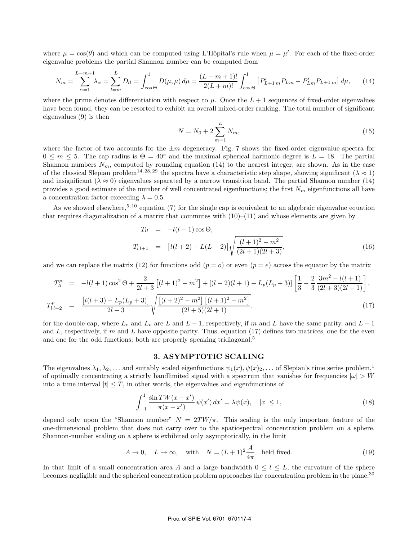where  $\mu = \cos(\theta)$  and which can be computed using L'Hôpital's rule when  $\mu = \mu'$ . For each of the fixed-order eigenvalue problems the partial Shannon number can be computed from

$$
N_m = \sum_{\alpha=1}^{L-m+1} \lambda_{\alpha} = \sum_{l=m}^{L} D_{ll} = \int_{\cos\Theta}^{1} D(\mu, \mu) d\mu = \frac{(L-m+1)!}{2(L+m)!} \int_{\cos\Theta}^{1} \left[ P'_{L+1,m} P_{Lm} - P'_{Lm} P_{L+1,m} \right] d\mu, \tag{14}
$$

where the prime denotes differentiation with respect to  $\mu$ . Once the  $L + 1$  sequences of fixed-order eigenvalues have been found, they can be resorted to exhibit an overall mixed-order ranking. The total number of significant eigenvalues (9) is then

$$
N = N_0 + 2\sum_{m=1}^{L} N_m,\tag{15}
$$

where the factor of two accounts for the  $\pm m$  degeneracy. Fig. 7 shows the fixed-order eigenvalue spectra for  $0 \le m \le 5$ . The cap radius is  $\Theta = 40^{\circ}$  and the maximal spherical harmonic degree is  $L = 18$ . The partial Shannon numbers  $N_m$ , computed by rounding equation (14) to the nearest integer, are shown. As in the case of the classical Slepian problem<sup>14, 28, 29</sup> the spectra have a characteristic step shape, showing significant ( $\lambda \approx 1$ ) and insignificant ( $\lambda \approx 0$ ) eigenvalues separated by a narrow transition band. The partial Shannon number (14) provides a good estimate of the number of well concentrated eigenfunctions; the first  $N_m$  eigenfunctions all have a concentration factor exceeding  $\lambda = 0.5$ .

As we showed elsewhere,<sup>5, 10</sup> equation (7) for the single cap is equivalent to an algebraic eigenvalue equation that requires diagonalization of a matrix that commutes with  $(10)–(11)$  and whose elements are given by

$$
T_{ll} = -l(l+1)\cos\Theta,
$$
  
\n
$$
T_{l\,l+1} = [l(l+2) - L(L+2)]\sqrt{\frac{(l+1)^2 - m^2}{(2l+1)(2l+3)}},
$$
\n(16)

and we can replace the matrix (12) for functions odd  $(p = o)$  or even  $(p = e)$  across the equator by the matrix

$$
T_{ll}^{p} = -l(l+1)\cos^{2}\Theta + \frac{2}{2l+3}\left[(l+1)^{2} - m^{2}\right] + \left[(l-2)(l+1) - L_{p}(L_{p}+3)\right]\left[\frac{1}{3} - \frac{2}{3}\frac{3m^{2} - l(l+1)}{(2l+3)(2l-1)}\right],
$$
  
\n
$$
T_{l+2}^{p} = \frac{\left[l(l+3) - L_{p}(L_{p}+3)\right]}{2l+3}\sqrt{\frac{\left[(l+2)^{2} - m^{2}\right]\left[(l+1)^{2} - m^{2}\right]}{(2l+5)(2l+1)}}.
$$
\n(17)

for the double cap, where  $L_e$  and  $L_o$  are L and  $L-1$ , respectively, if m and L have the same parity, and  $L-1$ and  $L$ , respectively, if m and  $L$  have opposite parity. Thus, equation (17) defines two matrices, one for the even and one for the odd functions; both are properly speaking tridiagonal.<sup>5</sup>

## **3. ASYMPTOTIC SCALING**

The eigenvalues  $\lambda_1, \lambda_2, \ldots$  and suitably scaled eigenfunctions  $\psi_1(x), \psi(x)_2, \ldots$  of Slepian's time series problem,<sup>1</sup> of optimally concentrating a strictly bandlimited signal with a spectrum that vanishes for frequencies  $|\omega| > W$ into a time interval  $|t| \leq T$ , in other words, the eigenvalues and eigenfunctions of

$$
\int_{-1}^{1} \frac{\sin TW(x - x')}{\pi(x - x')} \psi(x') dx' = \lambda \psi(x), \quad |x| \le 1,
$$
\n(18)

depend only upon the "Shannon number"  $N = 2TW/\pi$ . This scaling is the only important feature of the one-dimensional problem that does not carry over to the spatiospectral concentration problem on a sphere. Shannon-number scaling on a sphere is exhibited only asymptotically, in the limit

$$
A \to 0
$$
,  $L \to \infty$ , with  $N = (L+1)^2 \frac{A}{4\pi}$  held fixed. (19)

In that limit of a small concentration area A and a large bandwidth  $0 \leq l \leq L$ , the curvature of the sphere becomes negligible and the spherical concentration problem approaches the concentration problem in the plane.<sup>30</sup>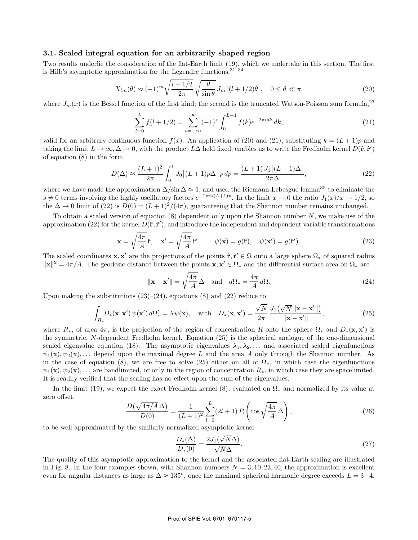#### **3.1. Scaled integral equation for an arbitrarily shaped region**

Two results underlie the consideration of the flat-Earth limit (19), which we undertake in this section. The first is Hilb's asymptotic approximation for the Legendre functions,  $31-34$ 

$$
X_{lm}(\theta) \approx (-1)^m \sqrt{\frac{l+1/2}{2\pi}} \sqrt{\frac{\theta}{\sin\theta}} J_m[(l+1/2)\theta], \quad 0 \le \theta \ll \pi,
$$
\n(20)

where  $J_m(x)$  is the Bessel function of the first kind; the second is the truncated Watson-Poisson sum formula,<sup>23</sup>

$$
\sum_{l=0}^{L} f(l+1/2) = \sum_{s=-\infty}^{\infty} (-1)^s \int_0^{L+1} f(k)e^{-2\pi i sk} dk,
$$
\n(21)

valid for an arbitrary continuous function  $f(x)$ . An application of (20) and (21), substituting  $k = (L + 1)p$  and taking the limit  $L \to \infty, \Delta \to 0$ , with the product  $L\Delta$  held fixed, enables us to write the Fredholm kernel  $D(\hat{\bf r}, \hat{\bf r}')$ of equation (8) in the form

$$
D(\Delta) \approx \frac{(L+1)^2}{2\pi} \int_0^1 J_0 [(L+1)p\Delta] p \, dp = \frac{(L+1) J_1 [(L+1)\Delta]}{2\pi \Delta},\tag{22}
$$

where we have made the approximation  $\Delta/\sin \Delta \approx 1$ , and used the Riemann-Lebesgue lemma<sup>35</sup> to eliminate the  $s \neq 0$  terms involving the highly oscillatory factors  $e^{-2\pi i s(L+1)p}$ . In the limit  $x \to 0$  the ratio  $J_1(x)/x \to 1/2$ , so the  $\Delta \to 0$  limit of (22) is  $D(0) = (L+1)^2/(4\pi)$ , guaranteeing that the Shannon number remains unchanged.

To obtain a scaled version of equation  $(8)$  dependent only upon the Shannon number N, we make use of the approximation (22) for the kernel  $D(\hat{\bf r}, \hat{\bf r}')$ , and introduce the independent and dependent variable transformations

$$
\mathbf{x} = \sqrt{\frac{4\pi}{A}} \hat{\mathbf{r}}, \quad \mathbf{x}' = \sqrt{\frac{4\pi}{A}} \hat{\mathbf{r}}', \qquad \psi(\mathbf{x}) = g(\hat{\mathbf{r}}), \quad \psi(\mathbf{x}') = g(\hat{\mathbf{r}}'). \tag{23}
$$

The scaled coordinates **x**, **x**<sup>'</sup> are the projections of the points  $\hat{\mathbf{r}}, \hat{\mathbf{r}}' \in \Omega$  onto a large sphere  $\Omega_*$  of squared radius  $\|\mathbf{x}\|^2 = 4\pi/A$ . The geodesic distance between the points  $\mathbf{x}, \mathbf{x}' \in \Omega_*$  and the differential surface area on  $\Omega_*$  are

$$
\|\mathbf{x} - \mathbf{x}'\| = \sqrt{\frac{4\pi}{A}} \Delta
$$
 and  $d\Omega_* = \frac{4\pi}{A} d\Omega.$  (24)

Upon making the substitutions  $(23)$ – $(24)$ , equations  $(8)$  and  $(22)$  reduce to

$$
\int_{R_*} D_*(\mathbf{x}, \mathbf{x}') \psi(\mathbf{x}') d\Omega'_* = \lambda \psi(\mathbf{x}), \quad \text{with} \quad D_*(\mathbf{x}, \mathbf{x}') = \frac{\sqrt{N}}{2\pi} \frac{J_1(\sqrt{N} \|\mathbf{x} - \mathbf{x}'\|)}{\|\mathbf{x} - \mathbf{x}'\|},
$$
\n(25)

where  $R_*$ , of area  $4\pi$ , is the projection of the region of concentration R onto the sphere  $\Omega_*$  and  $D_*(\mathbf{x}, \mathbf{x}')$  is the symmetric, N-dependent Fredholm kernel. Equation (25) is the spherical analogue of the one-dimensional scaled eigenvalue equation (18). The asymptotic eigenvalues  $\lambda_1, \lambda_2, \ldots$  and associated scaled eigenfunctions  $\psi_1(\mathbf{x}), \psi_2(\mathbf{x}),...$  depend upon the maximal degree L and the area A only through the Shannon number. As in the case of equation (8), we are free to solve (25) either on all of  $\Omega_*,$  in which case the eigenfunctions  $\psi_1(\mathbf{x}), \psi_2(\mathbf{x}), \ldots$  are bandlimited, or only in the region of concentration  $R_*$ , in which case they are spacelimited. It is readily verified that the scaling has no effect upon the sum of the eigenvalues.

In the limit (19), we expect the exact Fredholm kernel (8), evaluated on Ω<sup>∗</sup> and normalized by its value at zero offset,

$$
\frac{D(\sqrt{4\pi/A}\,\Delta)}{D(0)} = \frac{1}{(L+1)^2} \sum_{l=0}^{L} (2l+1) \, P_l\!\left(\cos\sqrt{\frac{4\pi}{A}}\,\Delta\right),\tag{26}
$$

to be well approximated by the similarly normalized asymptotic kernel

$$
\frac{D_*(\Delta)}{D_*(0)} = \frac{2J_1(\sqrt{N}\Delta)}{\sqrt{N}\Delta}.
$$
\n(27)

The quality of this asymptotic approximation to the kernel and the associated flat-Earth scaling are illustrated in Fig. 8. In the four examples shown, with Shannon numbers  $N = 3, 10, 23, 40$ , the approximation is excellent even for angular distances as large as  $\Delta \approx 135^{\circ}$ , once the maximal spherical harmonic degree exceeds  $L = 3-4$ .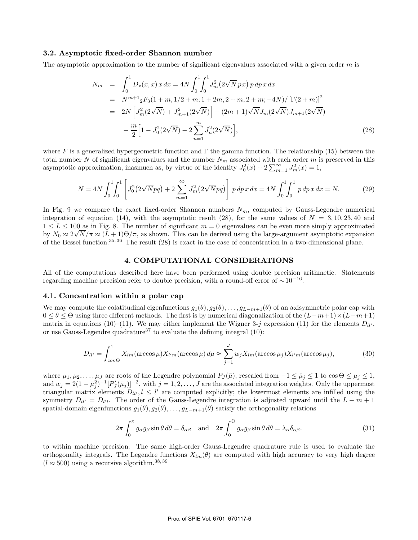#### **3.2. Asymptotic fixed-order Shannon number**

The asymptotic approximation to the number of significant eigenvalues associated with a given order  $m$  is

$$
N_m = \int_0^1 D_*(x, x) \, x \, dx = 4N \int_0^1 \int_0^1 J_m^2 (2\sqrt{N} \, px) \, p \, dp \, x \, dx
$$
  
\n
$$
= N^{m+1} {}_2F_3 (1+m, 1/2+m; 1+2m, 2+m, 2+m; -4N) / \left[ \Gamma(2+m) \right]^2
$$
  
\n
$$
= 2N \left[ J_m^2 (2\sqrt{N}) + J_{m+1}^2 (2\sqrt{N}) \right] - (2m+1) \sqrt{N} J_m (2\sqrt{N}) J_{m+1} (2\sqrt{N})
$$
  
\n
$$
- \frac{m}{2} \left[ 1 - J_0^2 (2\sqrt{N}) - 2 \sum_{n=1}^m J_n^2 (2\sqrt{N}) \right],
$$
\n(28)

where F is a generalized hypergeometric function and  $\Gamma$  the gamma function. The relationship (15) between the total number N of significant eigenvalues and the number  $N_m$  associated with each order m is preserved in this asymptotic approximation, inasmuch as, by virtue of the identity  $J_0^2(x) + 2\sum_{m=1}^{\infty} J_m^2(x) = 1$ ,

$$
N = 4N \int_0^1 \int_0^1 \left[ J_0^2 \left( 2\sqrt{N}pq \right) + 2 \sum_{m=1}^\infty J_m^2 \left( 2\sqrt{N}pq \right) \right] p \, dp \, x \, dx = 4N \int_0^1 \int_0^1 p \, dp \, x \, dx = N. \tag{29}
$$

In Fig. 9 we compare the exact fixed-order Shannon numbers  $N_m$ , computed by Gauss-Legendre numerical integration of equation (14), with the asymptotic result (28), for the same values of  $N = 3, 10, 23, 40$  and  $1 \le L \le 100$  as in Fig. 8. The number of significant  $m = 0$  eigenvalues can be even more simply approximated by  $N_0 \approx 2\sqrt{N/\pi} \approx (L+1)\Theta/\pi$ , as shown. This can be derived using the large-argument asymptotic expansion of the Bessel function.35, 36 The result (28) is exact in the case of concentration in a two-dimensional plane.

## **4. COMPUTATIONAL CONSIDERATIONS**

All of the computations described here have been performed using double precision arithmetic. Statements regarding machine precision refer to double precision, with a round-off error of  $\sim 10^{-16}$ .

#### **4.1. Concentration within a polar cap**

We may compute the colatitudinal eigenfunctions  $g_1(\theta), g_2(\theta), \ldots, g_{L-m+1}(\theta)$  of an axisymmetric polar cap with  $0 \le \theta \le \Theta$  using three different methods. The first is by numerical diagonalization of the  $(L-m+1) \times (L-m+1)$ matrix in equations (10)–(11). We may either implement the Wigner 3-j expression (11) for the elements  $D_{ll'}$ , or use Gauss-Legendre quadrature<sup>37</sup> to evaluate the defining integral  $(10)$ :

$$
D_{ll'} = \int_{\cos\Theta}^{1} X_{lm}(\arccos\mu) X_{l'm}(\arccos\mu) d\mu \approx \sum_{j=1}^{J} w_j X_{lm}(\arccos\mu_j) X_{l'm}(\arccos\mu_j), \tag{30}
$$

where  $\mu_1, \mu_2, \ldots, \mu_J$  are roots of the Legendre polynomial  $P_J(\bar{\mu})$ , rescaled from  $-1 \leq \bar{\mu}_j \leq 1$  to  $\cos \Theta \leq \mu_j \leq 1$ , and  $w_j = 2(1 - \bar{\mu}_j^2)^{-1} [P_j'(\bar{\mu}_j)]^{-2}$ , with  $j = 1, 2, ..., J$  are the associated integration weights. Only the uppermost triangular matrix elements  $D_{ll'}$ ,  $l \leq l'$  are computed explicitly; the lowermost elements are infilled using the symmetry  $D_{ll'} = D_{l'l}$ . The order of the Gauss-Legendre integration is adjusted upward until the  $L - m + 1$ spatial-domain eigenfunctions  $g_1(\theta), g_2(\theta), \ldots, g_{L-m+1}(\theta)$  satisfy the orthogonality relations

$$
2\pi \int_0^{\pi} g_{\alpha} g_{\beta} \sin \theta \, d\theta = \delta_{\alpha\beta} \quad \text{and} \quad 2\pi \int_0^{\Theta} g_{\alpha} g_{\beta} \sin \theta \, d\theta = \lambda_{\alpha} \delta_{\alpha\beta}.
$$
 (31)

to within machine precision. The same high-order Gauss-Legendre quadrature rule is used to evaluate the orthogonality integrals. The Legendre functions  $X_{lm}(\theta)$  are computed with high accuracy to very high degree  $(l \approx 500)$  using a recursive algorithm.<sup>38,39</sup>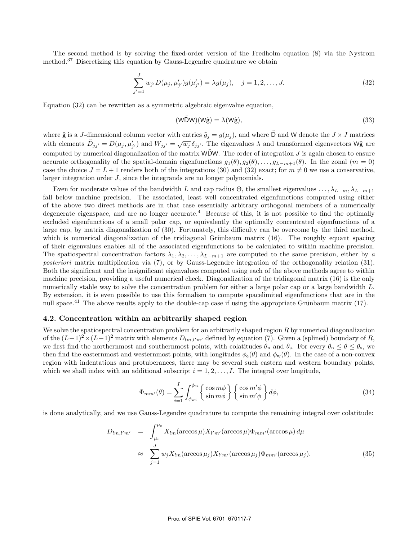The second method is by solving the fixed-order version of the Fredholm equation (8) via the Nystrom method.<sup>37</sup> Discretizing this equation by Gauss-Legendre quadrature we obtain

$$
\sum_{j'=1}^{J} w_{j'} D(\mu_j, \mu'_{j'}) g(\mu'_{j'}) = \lambda g(\mu_j), \quad j = 1, 2, ..., J.
$$
 (32)

Equation (32) can be rewritten as a symmetric algebraic eigenvalue equation,

$$
(W\tilde{D}W)(W\tilde{g}) = \lambda(W\tilde{g}),\tag{33}
$$

where  $\tilde{g}$  is a J-dimensional column vector with entries  $\tilde{g}_j = g(\mu_j)$ , and where  $\tilde{D}$  and W denote the  $J \times J$  matrices with elements  $\tilde{D}_{jj'} = D(\mu_j, \mu'_j)$  $j'_{j'}$  and  $W_{jj'} = \sqrt{w_j} \delta_{jj'}$ . The eigenvalues  $\lambda$  and transformed eigenvectors W $\tilde{\mathbf{g}}$  are computed by numerical diagonalization of the matrix  $WDW$ . The order of integration J is again chosen to ensure accurate orthogonality of the spatial-domain eigenfunctions  $g_1(\theta), g_2(\theta), \ldots, g_{L-m+1}(\theta)$ . In the zonal  $(m = 0)$ case the choice  $J = L + 1$  renders both of the integrations (30) and (32) exact; for  $m \neq 0$  we use a conservative, larger integration order J, since the integrands are no longer polynomials.

Even for moderate values of the bandwidth L and cap radius  $\Theta$ , the smallest eigenvalues  $\ldots, \lambda_{L-m}, \lambda_{L-m+1}$ fall below machine precision. The associated, least well concentrated eigenfunctions computed using either of the above two direct methods are in that case essentially arbitrary orthogonal members of a numerically degenerate eigenspace, and are no longer accurate.<sup>4</sup> Because of this, it is not possible to find the optimally excluded eigenfunctions of a small polar cap, or equivalently the optimally concentrated eigenfunctions of a large cap, by matrix diagonalization of (30). Fortunately, this difficulty can be overcome by the third method, which is numerical diagonalization of the tridiagonal Grünbaum matrix  $(16)$ . The roughly equant spacing of their eigenvalues enables all of the associated eigenfunctions to be calculated to within machine precision. The spatiospectral concentration factors  $\lambda_1, \lambda_2, \ldots, \lambda_{L-m+1}$  are computed to the same precision, either by *a posteriori* matrix multiplication via (7), or by Gauss-Legendre integration of the orthogonality relation (31). Both the significant and the insignificant eigenvalues computed using each of the above methods agree to within machine precision, providing a useful numerical check. Diagonalization of the tridiagonal matrix (16) is the only numerically stable way to solve the concentration problem for either a large polar cap or a large bandwidth L. By extension, it is even possible to use this formalism to compute spacelimited eigenfunctions that are in the null space.<sup>41</sup> The above results apply to the double-cap case if using the appropriate Grünbaum matrix (17).

## **4.2. Concentration within an arbitrarily shaped region**

We solve the spatiospectral concentration problem for an arbitrarily shaped region  $R$  by numerical diagonalization of the  $(L+1)^2 \times (L+1)^2$  matrix with elements  $D_{lm,l'm'}$  defined by equation (7). Given a (splined) boundary of R, we first find the northernmost and southernmost points, with colatitudes  $\theta_n$  and  $\theta_s$ . For every  $\theta_n \leq \theta \leq \theta_s$ , we then find the easternmost and westernmost points, with longitudes  $\phi_e(\theta)$  and  $\phi_w(\theta)$ . In the case of a non-convex region with indentations and protuberances, there may be several such eastern and western boundary points, which we shall index with an additional subscript  $i = 1, 2, \ldots, I$ . The integral over longitude,

$$
\Phi_{mm'}(\theta) = \sum_{i=1}^{I} \int_{\phi_{wi}}^{\phi_{ei}} \left\{ \begin{array}{l} \cos m\phi \\ \sin m\phi \end{array} \right\} \left\{ \begin{array}{l} \cos m'\phi \\ \sin m'\phi \end{array} \right\} d\phi, \tag{34}
$$

is done analytically, and we use Gauss-Legendre quadrature to compute the remaining integral over colatitude:

$$
D_{lm,l'm'} = \int_{\mu_{\rm n}}^{\mu_{\rm s}} X_{lm}(\arccos \mu) X_{l'm'}(\arccos \mu) \Phi_{mm'}(\arccos \mu) d\mu
$$
  

$$
\approx \sum_{j=1}^{J} w_j X_{lm}(\arccos \mu_j) X_{l'm'}(\arccos \mu_j) \Phi_{mm'}(\arccos \mu_j). \tag{35}
$$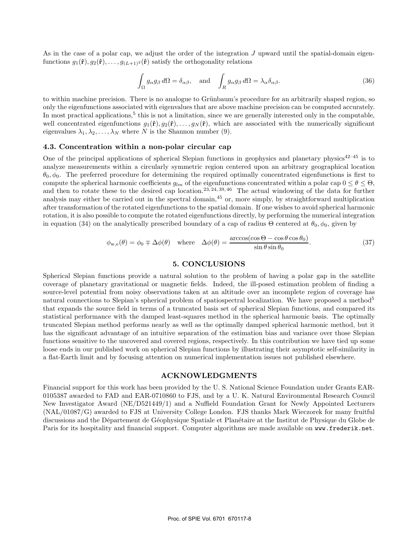As in the case of a polar cap, we adjust the order of the integration J upward until the spatial-domain eigenfunctions  $g_1(\hat{\mathbf{r}}), g_2(\hat{\mathbf{r}}), \ldots, g_{(L+1)^2}(\hat{\mathbf{r}})$  satisfy the orthogonality relations

$$
\int_{\Omega} g_{\alpha} g_{\beta} d\Omega = \delta_{\alpha\beta}, \text{ and } \int_{R} g_{\alpha} g_{\beta} d\Omega = \lambda_{\alpha} \delta_{\alpha\beta}.
$$
\n(36)

to within machine precision. There is no analogue to Grünbaum's procedure for an arbitrarily shaped region, so only the eigenfunctions associated with eigenvalues that are above machine precision can be computed accurately. In most practical applications, $5$  this is not a limitation, since we are generally interested only in the computable, well concentrated eigenfunctions  $g_1(\hat{\mathbf{r}}), g_2(\hat{\mathbf{r}}), \ldots, g_N(\hat{\mathbf{r}})$ , which are associated with the numerically significant eigenvalues  $\lambda_1, \lambda_2, \ldots, \lambda_N$  where N is the Shannon number (9).

#### **4.3. Concentration within a non-polar circular cap**

One of the principal applications of spherical Slepian functions in geophysics and planetary physics<sup>42–45</sup> is to analyze measurements within a circularly symmetric region centered upon an arbitrary geographical location  $\theta_0, \phi_0$ . The preferred procedure for determining the required optimally concentrated eigenfunctions is first to compute the spherical harmonic coefficients  $g_{lm}$  of the eigenfunctions concentrated within a polar cap  $0 \le \theta \le \Theta$ , and then to rotate these to the desired cap location.<sup>23, 24, 39, 46</sup> The actual windowing of the data for further analysis may either be carried out in the spectral domain, $45$  or, more simply, by straightforward multiplication after transformation of the rotated eigenfunctions to the spatial domain. If one wishes to avoid spherical harmonic rotation, it is also possible to compute the rotated eigenfunctions directly, by performing the numerical integration in equation (34) on the analytically prescribed boundary of a cap of radius  $\Theta$  centered at  $\theta_0$ ,  $\phi_0$ , given by

$$
\phi_{\mathbf{w},\mathbf{e}}(\theta) = \phi_0 \mp \Delta\phi(\theta) \quad \text{where} \quad \Delta\phi(\theta) = \frac{\arccos(\cos\Theta - \cos\theta\cos\theta_0)}{\sin\theta\sin\theta_0}.\tag{37}
$$

## **5. CONCLUSIONS**

Spherical Slepian functions provide a natural solution to the problem of having a polar gap in the satellite coverage of planetary gravitational or magnetic fields. Indeed, the ill-posed estimation problem of finding a source-level potential from noisy observations taken at an altitude over an incomplete region of coverage has natural connections to Slepian's spherical problem of spatiospectral localization. We have proposed a method<sup>5</sup> that expands the source field in terms of a truncated basis set of spherical Slepian functions, and compared its statistical performance with the damped least-squares method in the spherical harmonic basis. The optimally truncated Slepian method performs nearly as well as the optimally damped spherical harmonic method, but it has the significant advantage of an intuitive separation of the estimation bias and variance over those Slepian functions sensitive to the uncovered and covered regions, respectively. In this contribution we have tied up some loose ends in our published work on spherical Slepian functions by illustrating their asymptotic self-similarity in a flat-Earth limit and by focusing attention on numerical implementation issues not published elsewhere.

#### **ACKNOWLEDGMENTS**

Financial support for this work has been provided by the U. S. National Science Foundation under Grants EAR-0105387 awarded to FAD and EAR-0710860 to FJS, and by a U. K. Natural Environmental Research Council New Investigator Award (NE/D521449/1) and a Nuffield Foundation Grant for Newly Appointed Lecturers (NAL/01087/G) awarded to FJS at University College London. FJS thanks Mark Wieczorek for many fruitful discussions and the Département de Géophysique Spatiale et Planétaire at the Institut de Physique du Globe de Paris for its hospitality and financial support. Computer algorithms are made available on www.frederik.net.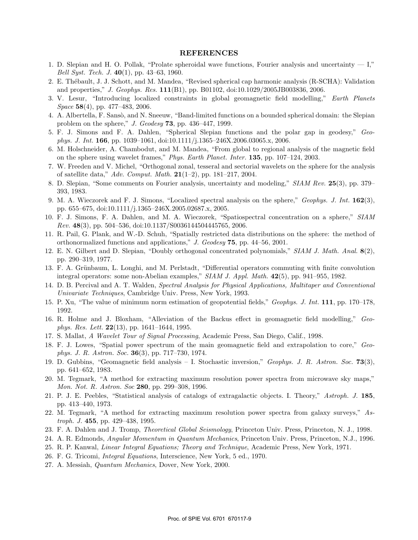#### **REFERENCES**

- 1. D. Slepian and H. O. Pollak, "Prolate spheroidal wave functions, Fourier analysis and uncertainty I," *Bell Syst. Tech. J.* **40**(1), pp. 43–63, 1960.
- 2. E. Th´ebault, J. J. Schott, and M. Mandea, "Revised spherical cap harmonic analysis (R-SCHA): Validation and properties," *J. Geophys. Res.* **111**(B1), pp. B01102, doi:10.1029/2005JB003836, 2006.
- 3. V. Lesur, "Introducing localized constraints in global geomagnetic field modelling," *Earth Planets Space* **58**(4), pp. 477–483, 2006.
- 4. A. Albertella, F. Sansò, and N. Sneeuw, "Band-limited functions on a bounded spherical domain: the Slepian problem on the sphere," *J. Geodesy* **73**, pp. 436–447, 1999.
- 5. F. J. Simons and F. A. Dahlen, "Spherical Slepian functions and the polar gap in geodesy," *Geophys. J. Int.* **166**, pp. 1039–1061, doi:10.1111/j.1365–246X.2006.03065.x, 2006.
- 6. M. Holschneider, A. Chambodut, and M. Mandea, "From global to regional analysis of the magnetic field on the sphere using wavelet frames," *Phys. Earth Planet. Inter.* **135**, pp. 107–124, 2003.
- 7. W. Freeden and V. Michel, "Orthogonal zonal, tesseral and sectorial wavelets on the sphere for the analysis of satellite data," *Adv. Comput. Math.* **21**(1–2), pp. 181–217, 2004.
- 8. D. Slepian, "Some comments on Fourier analysis, uncertainty and modeling," *SIAM Rev.* **25**(3), pp. 379– 393, 1983.
- 9. M. A. Wieczorek and F. J. Simons, "Localized spectral analysis on the sphere," *Geophys. J. Int.* **162**(3), pp. 655–675, doi:10.1111/j.1365–246X.2005.02687.x, 2005.
- 10. F. J. Simons, F. A. Dahlen, and M. A. Wieczorek, "Spatiospectral concentration on a sphere," *SIAM Rev.* **48**(3), pp. 504–536, doi:10.1137/S0036144504445765, 2006.
- 11. R. Pail, G. Plank, and W.-D. Schuh, "Spatially restricted data distributions on the sphere: the method of orthonormalized functions and applications," *J. Geodesy* **75**, pp. 44–56, 2001.
- 12. E. N. Gilbert and D. Slepian, "Doubly orthogonal concentrated polynomials," *SIAM J. Math. Anal.* **8**(2), pp. 290–319, 1977.
- 13. F. A. Grünbaum, L. Longhi, and M. Perlstadt, "Differential operators commuting with finite convolution integral operators: some non-Abelian examples," *SIAM J. Appl. Math.* **42**(5), pp. 941–955, 1982.
- 14. D. B. Percival and A. T. Walden, *Spectral Analysis for Physical Applications, Multitaper and Conventional Univariate Techniques*, Cambridge Univ. Press, New York, 1993.
- 15. P. Xu, "The value of minimum norm estimation of geopotential fields," *Geophys. J. Int.* **111**, pp. 170–178, 1992.
- 16. R. Holme and J. Bloxham, "Alleviation of the Backus effect in geomagnetic field modelling," *Geophys. Res. Lett.* **22**(13), pp. 1641–1644, 1995.
- 17. S. Mallat, *A Wavelet Tour of Signal Processing*, Academic Press, San Diego, Calif., 1998.
- 18. F. J. Lowes, "Spatial power spectrum of the main geomagnetic field and extrapolation to core," *Geophys. J. R. Astron. Soc.* **36**(3), pp. 717–730, 1974.
- 19. D. Gubbins, "Geomagnetic field analysis I. Stochastic inversion," *Geophys. J. R. Astron. Soc.* **73**(3), pp. 641–652, 1983.
- 20. M. Tegmark, "A method for extracting maximum resolution power spectra from microwave sky maps," *Mon. Not. R. Astron. Soc* **280**, pp. 299–308, 1996.
- 21. P. J. E. Peebles, "Statistical analysis of catalogs of extragalactic objects. I. Theory," *Astroph. J.* **185**, pp. 413–440, 1973.
- 22. M. Tegmark, "A method for extracting maximum resolution power spectra from galaxy surveys," *Astroph. J.* **455**, pp. 429–438, 1995.
- 23. F. A. Dahlen and J. Tromp, *Theoretical Global Seismology*, Princeton Univ. Press, Princeton, N. J., 1998.
- 24. A. R. Edmonds, *Angular Momentum in Quantum Mechanics*, Princeton Univ. Press, Princeton, N.J., 1996.
- 25. R. P. Kanwal, *Linear Integral Equations; Theory and Technique*, Academic Press, New York, 1971.
- 26. F. G. Tricomi, *Integral Equations*, Interscience, New York, 5 ed., 1970.
- 27. A. Messiah, *Quantum Mechanics*, Dover, New York, 2000.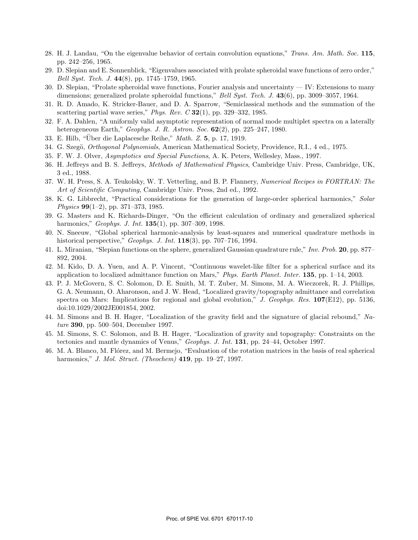- 28. H. J. Landau, "On the eigenvalue behavior of certain convolution equations," *Trans. Am. Math. Soc.* **115**, pp. 242–256, 1965.
- 29. D. Slepian and E. Sonnenblick, "Eigenvalues associated with prolate spheroidal wave functions of zero order," *Bell Syst. Tech. J.* **44**(8), pp. 1745–1759, 1965.
- 30. D. Slepian, "Prolate spheroidal wave functions, Fourier analysis and uncertainty IV: Extensions to many dimensions; generalized prolate spheroidal functions," *Bell Syst. Tech. J.* **43**(6), pp. 3009–3057, 1964.
- 31. R. D. Amado, K. Stricker-Bauer, and D. A. Sparrow, "Semiclassical methods and the summation of the scattering partial wave series," *Phys. Rev. C* **32**(1), pp. 329–332, 1985.
- 32. F. A. Dahlen, "A uniformly valid asymptotic representation of normal mode multiplet spectra on a laterally heterogeneous Earth," *Geophys. J. R. Astron. Soc.* **62**(2), pp. 225–247, 1980.
- 33. E. Hilb, "Über die Laplacesche Reihe," *Math. Z.* 5, p. 17, 1919.
- 34. G. Szegö, *Orthogonal Polynomials*, American Mathematical Society, Providence, R.I., 4 ed., 1975.
- 35. F. W. J. Olver, *Asymptotics and Special Functions*, A. K. Peters, Wellesley, Mass., 1997.
- 36. H. Jeffreys and B. S. Jeffreys, *Methods of Mathematical Physics*, Cambridge Univ. Press, Cambridge, UK, 3 ed., 1988.
- 37. W. H. Press, S. A. Teukolsky, W. T. Vetterling, and B. P. Flannery, *Numerical Recipes in FORTRAN: The Art of Scientific Computing*, Cambridge Univ. Press, 2nd ed., 1992.
- 38. K. G. Libbrecht, "Practical considerations for the generation of large-order spherical harmonics," *Solar Physics* **99**(1–2), pp. 371–373, 1985.
- 39. G. Masters and K. Richards-Dinger, "On the efficient calculation of ordinary and generalized spherical harmonics," *Geophys. J. Int.* **135**(1), pp. 307–309, 1998.
- 40. N. Sneeuw, "Global spherical harmonic-analysis by least-squares and numerical quadrature methods in historical perspective," *Geophys. J. Int.* **118**(3), pp. 707–716, 1994.
- 41. L. Miranian, "Slepian functions on the sphere, generalized Gaussian quadrature rule," *Inv. Prob.* **20**, pp. 877– 892, 2004.
- 42. M. Kido, D. A. Yuen, and A. P. Vincent, "Continuous wavelet-like filter for a spherical surface and its application to localized admittance function on Mars," *Phys. Earth Planet. Inter.* **135**, pp. 1–14, 2003.
- 43. P. J. McGovern, S. C. Solomon, D. E. Smith, M. T. Zuber, M. Simons, M. A. Wieczorek, R. J. Phillips, G. A. Neumann, O. Aharonson, and J. W. Head, "Localized gravity/topography admittance and correlation spectra on Mars: Implications for regional and global evolution," *J. Geophys. Res.* **107**(E12), pp. 5136, doi:10.1029/2002JE001854, 2002.
- 44. M. Simons and B. H. Hager, "Localization of the gravity field and the signature of glacial rebound," *Nature* **390**, pp. 500–504, December 1997.
- 45. M. Simons, S. C. Solomon, and B. H. Hager, "Localization of gravity and topography: Constraints on the tectonics and mantle dynamics of Venus," *Geophys. J. Int.* **131**, pp. 24–44, October 1997.
- 46. M. A. Blanco, M. Flórez, and M. Bermejo, "Evaluation of the rotation matrices in the basis of real spherical harmonics," *J. Mol. Struct. (Theochem)* **419**, pp. 19–27, 1997.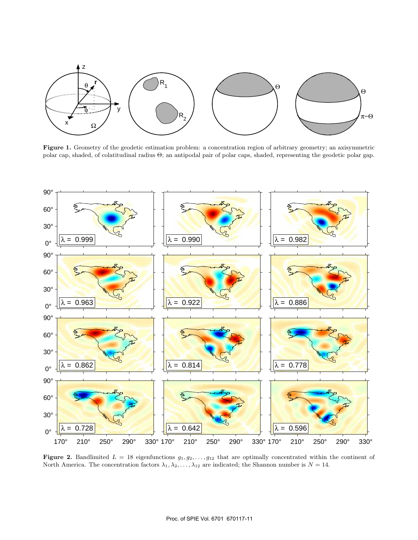

**Figure 1.** Geometry of the geodetic estimation problem: a concentration region of arbitrary geometry; an axisymmetric polar cap, shaded, of colatitudinal radius Θ; an antipodal pair of polar caps, shaded, representing the geodetic polar gap.



**Figure 2.** Bandlimited  $L = 18$  eigenfunctions  $g_1, g_2, \ldots, g_{12}$  that are optimally concentrated within the continent of North America. The concentration factors  $\lambda_1, \lambda_2, \ldots, \lambda_{12}$  are indicated; the Shannon number is  $N = 14$ .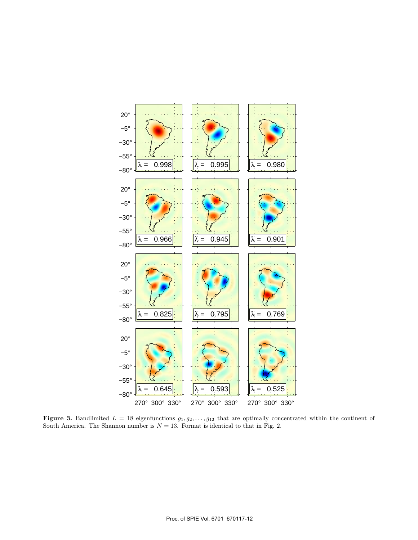

**Figure 3.** Bandlimited  $L = 18$  eigenfunctions  $g_1, g_2, \ldots, g_{12}$  that are optimally concentrated within the continent of South America. The Shannon number is  $N = 13$ . Format is identical to that in Fig. 2.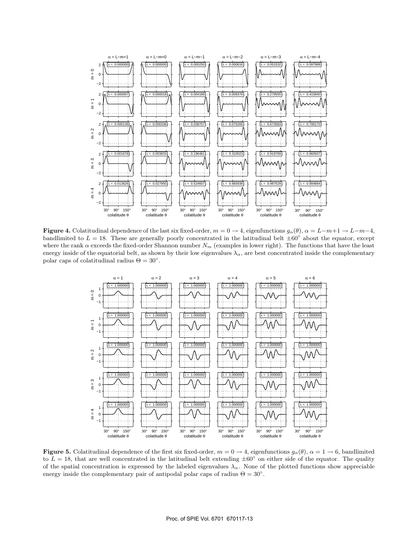

**Figure 4.** Colatitudinal dependence of the last six fixed-order,  $m = 0 \rightarrow 4$ , eigenfunctions  $g_{\alpha}(\theta)$ ,  $\alpha = L-m+1 \rightarrow L-m-4$ , bandlimited to  $L = 18$ . These are generally poorly concentrated in the latitudinal belt  $\pm 60^\circ$  about the equator, except where the rank  $\alpha$  exceeds the fixed-order Shannon number  $N_m$  (examples in lower right). The functions that have the least energy inside of the equatorial belt, as shown by their low eigenvalues  $\lambda_{\alpha}$ , are best concentrated inside the complementary polar caps of colatitudinal radius  $\Theta = 30^{\circ}$ .



**Figure 5.** Colatitudinal dependence of the first six fixed-order,  $m = 0 \rightarrow 4$ , eigenfunctions  $g_{\alpha}(\theta)$ ,  $\alpha = 1 \rightarrow 6$ , bandlimited to  $L = 18$ , that are well concentrated in the latitudinal belt extending  $\pm 60^\circ$  on either side of the equator. The quality of the spatial concentration is expressed by the labeled eigenvalues  $\lambda_{\alpha}$ . None of the plotted functions show appreciable energy inside the complementary pair of antipodal polar caps of radius  $\Theta = 30^{\circ}$ .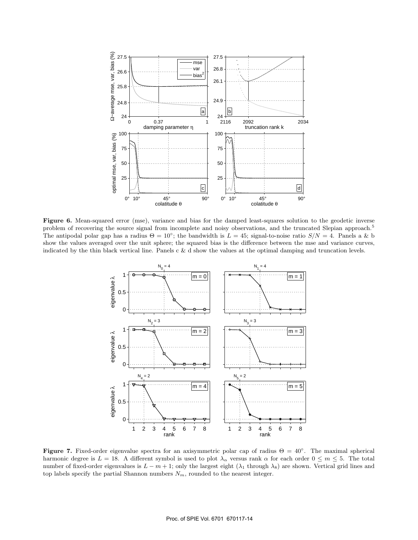

**Figure 6.** Mean-squared error (mse), variance and bias for the damped least-squares solution to the geodetic inverse problem of recovering the source signal from incomplete and noisy observations, and the truncated Slepian approach.<sup>5</sup> The antipodal polar gap has a radius  $\Theta = 10^{\circ}$ ; the bandwidth is  $L = 45$ ; signal-to-noise ratio  $S/N = 4$ . Panels a & b show the values averaged over the unit sphere; the squared bias is the difference between the mse and variance curves, indicated by the thin black vertical line. Panels c & d show the values at the optimal damping and truncation levels.



**Figure 7.** Fixed-order eigenvalue spectra for an axisymmetric polar cap of radius  $\Theta = 40^\circ$ . The maximal spherical harmonic degree is  $L = 18$ . A different symbol is used to plot  $\lambda_{\alpha}$  versus rank  $\alpha$  for each order  $0 \leq m \leq 5$ . The total number of fixed-order eigenvalues is  $L - m + 1$ ; only the largest eight  $(\lambda_1$  through  $\lambda_8)$  are shown. Vertical grid lines and top labels specify the partial Shannon numbers  $N_m$ , rounded to the nearest integer.